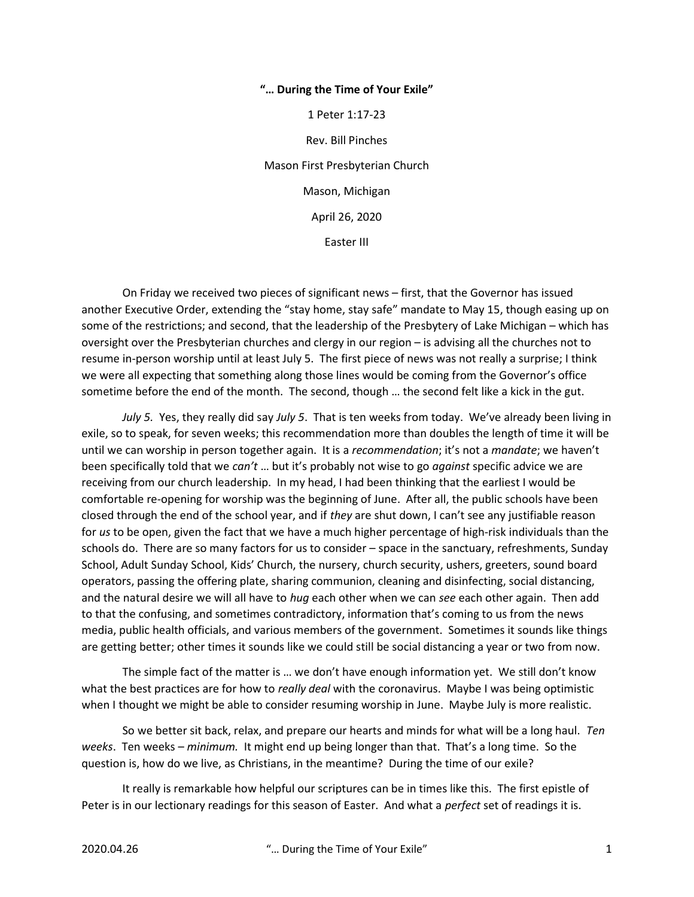## "… During the Time of Your Exile"

1 Peter 1:17-23 Rev. Bill Pinches Mason First Presbyterian Church Mason, Michigan April 26, 2020 Easter III

 On Friday we received two pieces of significant news – first, that the Governor has issued another Executive Order, extending the "stay home, stay safe" mandate to May 15, though easing up on some of the restrictions; and second, that the leadership of the Presbytery of Lake Michigan – which has oversight over the Presbyterian churches and clergy in our region – is advising all the churches not to resume in-person worship until at least July 5. The first piece of news was not really a surprise; I think we were all expecting that something along those lines would be coming from the Governor's office sometime before the end of the month. The second, though … the second felt like a kick in the gut.

July 5. Yes, they really did say July 5. That is ten weeks from today. We've already been living in exile, so to speak, for seven weeks; this recommendation more than doubles the length of time it will be until we can worship in person together again. It is a *recommendation*; it's not a *mandate*; we haven't been specifically told that we can't ... but it's probably not wise to go against specific advice we are receiving from our church leadership. In my head, I had been thinking that the earliest I would be comfortable re-opening for worship was the beginning of June. After all, the public schools have been closed through the end of the school year, and if they are shut down, I can't see any justifiable reason for us to be open, given the fact that we have a much higher percentage of high-risk individuals than the schools do. There are so many factors for us to consider – space in the sanctuary, refreshments, Sunday School, Adult Sunday School, Kids' Church, the nursery, church security, ushers, greeters, sound board operators, passing the offering plate, sharing communion, cleaning and disinfecting, social distancing, and the natural desire we will all have to hug each other when we can see each other again. Then add to that the confusing, and sometimes contradictory, information that's coming to us from the news media, public health officials, and various members of the government. Sometimes it sounds like things are getting better; other times it sounds like we could still be social distancing a year or two from now.

 The simple fact of the matter is … we don't have enough information yet. We still don't know what the best practices are for how to *really deal* with the coronavirus. Maybe I was being optimistic when I thought we might be able to consider resuming worship in June. Maybe July is more realistic.

So we better sit back, relax, and prepare our hearts and minds for what will be a long haul. Ten weeks. Ten weeks – minimum. It might end up being longer than that. That's a long time. So the question is, how do we live, as Christians, in the meantime? During the time of our exile?

 It really is remarkable how helpful our scriptures can be in times like this. The first epistle of Peter is in our lectionary readings for this season of Easter. And what a *perfect* set of readings it is.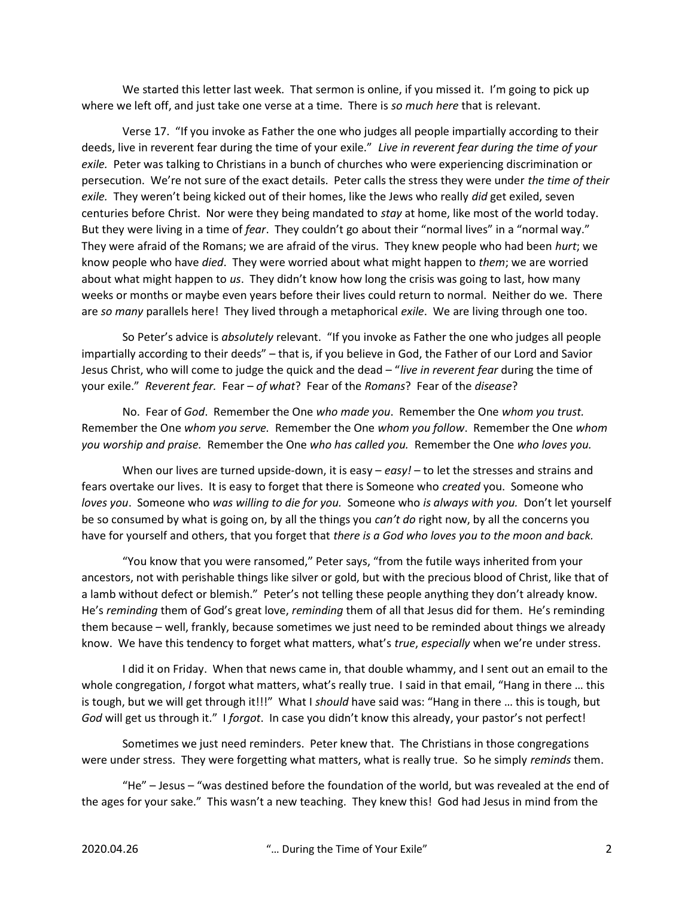We started this letter last week. That sermon is online, if you missed it. I'm going to pick up where we left off, and just take one verse at a time. There is so much here that is relevant.

 Verse 17. "If you invoke as Father the one who judges all people impartially according to their deeds, live in reverent fear during the time of your exile." Live in reverent fear during the time of your exile. Peter was talking to Christians in a bunch of churches who were experiencing discrimination or persecution. We're not sure of the exact details. Peter calls the stress they were under the time of their exile. They weren't being kicked out of their homes, like the Jews who really did get exiled, seven centuries before Christ. Nor were they being mandated to stay at home, like most of the world today. But they were living in a time of fear. They couldn't go about their "normal lives" in a "normal way." They were afraid of the Romans; we are afraid of the virus. They knew people who had been hurt; we know people who have *died*. They were worried about what might happen to them; we are worried about what might happen to us. They didn't know how long the crisis was going to last, how many weeks or months or maybe even years before their lives could return to normal. Neither do we. There are so many parallels here! They lived through a metaphorical exile. We are living through one too.

So Peter's advice is *absolutely* relevant. "If you invoke as Father the one who judges all people impartially according to their deeds" – that is, if you believe in God, the Father of our Lord and Savior Jesus Christ, who will come to judge the quick and the dead – "live in reverent fear during the time of your exile." Reverent fear. Fear – of what? Fear of the Romans? Fear of the disease?

No. Fear of God. Remember the One who made you. Remember the One whom you trust. Remember the One whom you serve. Remember the One whom you follow. Remember the One whom you worship and praise. Remember the One who has called you. Remember the One who loves you.

When our lives are turned upside-down, it is easy  $-easy! -$  to let the stresses and strains and fears overtake our lives. It is easy to forget that there is Someone who *created* you. Someone who loves you. Someone who was willing to die for you. Someone who is always with you. Don't let yourself be so consumed by what is going on, by all the things you can't do right now, by all the concerns you have for yourself and others, that you forget that there is a God who loves you to the moon and back.

 "You know that you were ransomed," Peter says, "from the futile ways inherited from your ancestors, not with perishable things like silver or gold, but with the precious blood of Christ, like that of a lamb without defect or blemish." Peter's not telling these people anything they don't already know. He's reminding them of God's great love, reminding them of all that Jesus did for them. He's reminding them because – well, frankly, because sometimes we just need to be reminded about things we already know. We have this tendency to forget what matters, what's true, especially when we're under stress.

 I did it on Friday. When that news came in, that double whammy, and I sent out an email to the whole congregation, I forgot what matters, what's really true. I said in that email, "Hang in there ... this is tough, but we will get through it!!!" What I should have said was: "Hang in there ... this is tough, but God will get us through it." I forgot. In case you didn't know this already, your pastor's not perfect!

 Sometimes we just need reminders. Peter knew that. The Christians in those congregations were under stress. They were forgetting what matters, what is really true. So he simply reminds them.

 "He" – Jesus – "was destined before the foundation of the world, but was revealed at the end of the ages for your sake." This wasn't a new teaching. They knew this! God had Jesus in mind from the